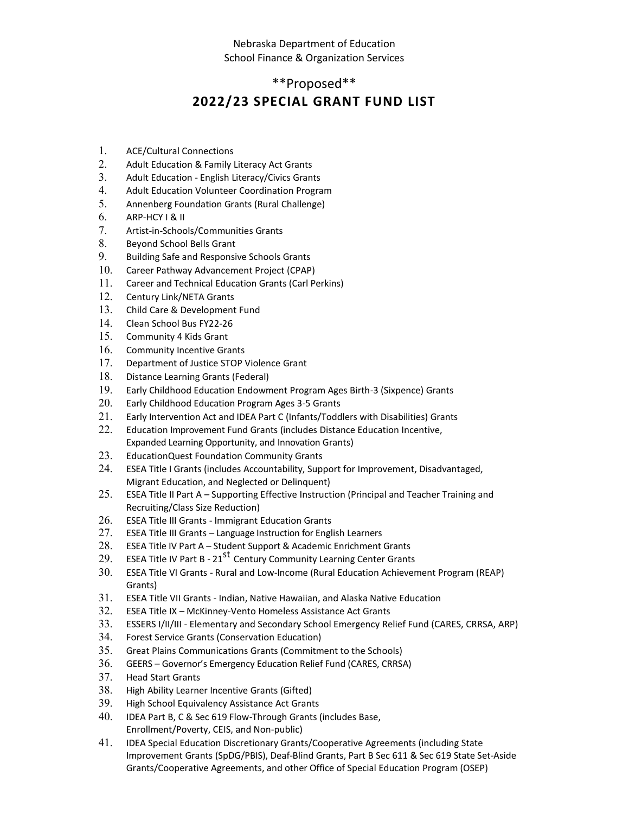### Nebraska Department of Education School Finance & Organization Services

# \*\*Proposed\*\* **2022/23 SPECIAL GRANT FUND LIST**

- 1. ACE/Cultural Connections
- 2. Adult Education & Family Literacy Act Grants
- 3. Adult Education English Literacy/Civics Grants
- 4. Adult Education Volunteer Coordination Program
- 5. Annenberg Foundation Grants (Rural Challenge)
- $6.$  ARP-HCY I & II
- 7. Artist-in-Schools/Communities Grants
- 8. Beyond School Bells Grant
- 9. Building Safe and Responsive Schools Grants
- 10. Career Pathway Advancement Project (CPAP)
- 11. Career and Technical Education Grants (Carl Perkins)
- 12. Century Link/NETA Grants
- 13. Child Care & Development Fund
- 14. Clean School Bus FY22-26
- 15. Community 4 Kids Grant
- 16. Community Incentive Grants
- 17. Department of Justice STOP Violence Grant
- 18. Distance Learning Grants (Federal)
- 19. Early Childhood Education Endowment Program Ages Birth-3 (Sixpence) Grants
- 20. Early Childhood Education Program Ages 3-5 Grants
- 21. Early Intervention Act and IDEA Part C (Infants/Toddlers with Disabilities) Grants
- 22. Education Improvement Fund Grants (includes Distance Education Incentive, Expanded Learning Opportunity, and Innovation Grants)
- 23. EducationQuest Foundation Community Grants
- 24. ESEA Title I Grants (includes Accountability, Support for Improvement, Disadvantaged, Migrant Education, and Neglected or Delinquent)
- 25. ESEA Title II Part A Supporting Effective Instruction (Principal and Teacher Training and Recruiting/Class Size Reduction)
- 26. ESEA Title III Grants Immigrant Education Grants
- 27. ESEA Title III Grants Language Instruction for English Learners
- 28. ESEA Title IV Part A Student Support & Academic Enrichment Grants
- 29. ESEA Title IV Part B 21<sup>st</sup> Century Community Learning Center Grants
- 30. ESEA Title VI Grants Rural and Low-Income (Rural Education Achievement Program (REAP) Grants)
- 31. ESEA Title VII Grants Indian, Native Hawaiian, and Alaska Native Education
- 32. ESEA Title IX McKinney-Vento Homeless Assistance Act Grants
- 33. ESSERS I/II/III Elementary and Secondary School Emergency Relief Fund (CARES, CRRSA, ARP)
- 34. Forest Service Grants (Conservation Education)
- 35. Great Plains Communications Grants (Commitment to the Schools)
- 36. GEERS Governor's Emergency Education Relief Fund (CARES, CRRSA)
- 37. Head Start Grants
- 38. High Ability Learner Incentive Grants (Gifted)
- 39. High School Equivalency Assistance Act Grants
- 40. IDEA Part B, C & Sec 619 Flow-Through Grants (includes Base, Enrollment/Poverty, CEIS, and Non-public)
- 41. IDEA Special Education Discretionary Grants/Cooperative Agreements (including State Improvement Grants (SpDG/PBIS), Deaf-Blind Grants, Part B Sec 611 & Sec 619 State Set-Aside Grants/Cooperative Agreements, and other Office of Special Education Program (OSEP)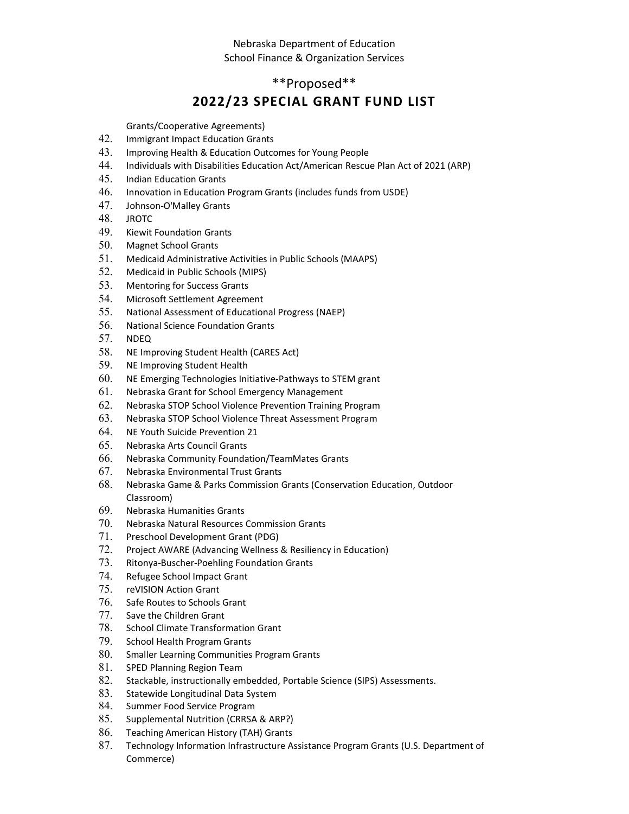#### Nebraska Department of Education School Finance & Organization Services

## \*\*Proposed\*\*

## **2022/23 SPECIAL GRANT FUND LIST**

Grants/Cooperative Agreements)

- 42. Immigrant Impact Education Grants
- 43. Improving Health & Education Outcomes for Young People
- 44. Individuals with Disabilities Education Act/American Rescue Plan Act of 2021 (ARP)
- 45. Indian Education Grants
- 46. Innovation in Education Program Grants (includes funds from USDE)
- 47. Johnson-O'Malley Grants
- 48. JROTC
- 49. Kiewit Foundation Grants
- 50. Magnet School Grants
- 51. Medicaid Administrative Activities in Public Schools (MAAPS)
- 52. Medicaid in Public Schools (MIPS)
- 53. Mentoring for Success Grants
- 54. Microsoft Settlement Agreement
- 55. National Assessment of Educational Progress (NAEP)
- 56. National Science Foundation Grants
- 57. NDEQ
- 58. NE Improving Student Health (CARES Act)
- 59. NE Improving Student Health
- 60. NE Emerging Technologies Initiative-Pathways to STEM grant
- 61. Nebraska Grant for School Emergency Management
- 62. Nebraska STOP School Violence Prevention Training Program
- 63. Nebraska STOP School Violence Threat Assessment Program
- 64. NE Youth Suicide Prevention 21
- 65. Nebraska Arts Council Grants
- 66. Nebraska Community Foundation/TeamMates Grants
- 67. Nebraska Environmental Trust Grants
- 68. Nebraska Game & Parks Commission Grants (Conservation Education, Outdoor Classroom)
- 69. Nebraska Humanities Grants
- 70. Nebraska Natural Resources Commission Grants
- 71. Preschool Development Grant (PDG)
- 72. Project AWARE (Advancing Wellness & Resiliency in Education)
- 73. Ritonya-Buscher-Poehling Foundation Grants
- 74. Refugee School Impact Grant
- 75. reVISION Action Grant
- 76. Safe Routes to Schools Grant
- 77. Save the Children Grant
- 78. School Climate Transformation Grant
- 79. School Health Program Grants
- 80. Smaller Learning Communities Program Grants
- 81. SPED Planning Region Team
- 82. Stackable, instructionally embedded, Portable Science (SIPS) Assessments.
- 83. Statewide Longitudinal Data System
- 84. Summer Food Service Program
- 85. Supplemental Nutrition (CRRSA & ARP?)
- 86. Teaching American History (TAH) Grants
- 87. Technology Information Infrastructure Assistance Program Grants (U.S. Department of Commerce)